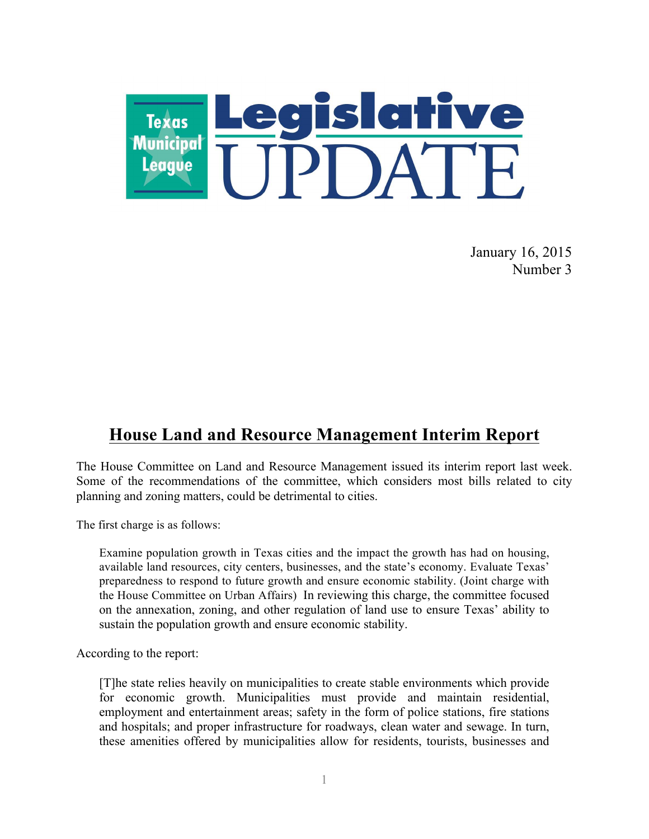

January 16, 2015 Number 3

# **House Land and Resource Management Interim Report**

The House Committee on Land and Resource Management issued its interim report last week. Some of the recommendations of the committee, which considers most bills related to city planning and zoning matters, could be detrimental to cities.

The first charge is as follows:

Examine population growth in Texas cities and the impact the growth has had on housing, available land resources, city centers, businesses, and the state's economy. Evaluate Texas' preparedness to respond to future growth and ensure economic stability. (Joint charge with the House Committee on Urban Affairs) In reviewing this charge, the committee focused on the annexation, zoning, and other regulation of land use to ensure Texas' ability to sustain the population growth and ensure economic stability.

According to the report:

[T]he state relies heavily on municipalities to create stable environments which provide for economic growth. Municipalities must provide and maintain residential, employment and entertainment areas; safety in the form of police stations, fire stations and hospitals; and proper infrastructure for roadways, clean water and sewage. In turn, these amenities offered by municipalities allow for residents, tourists, businesses and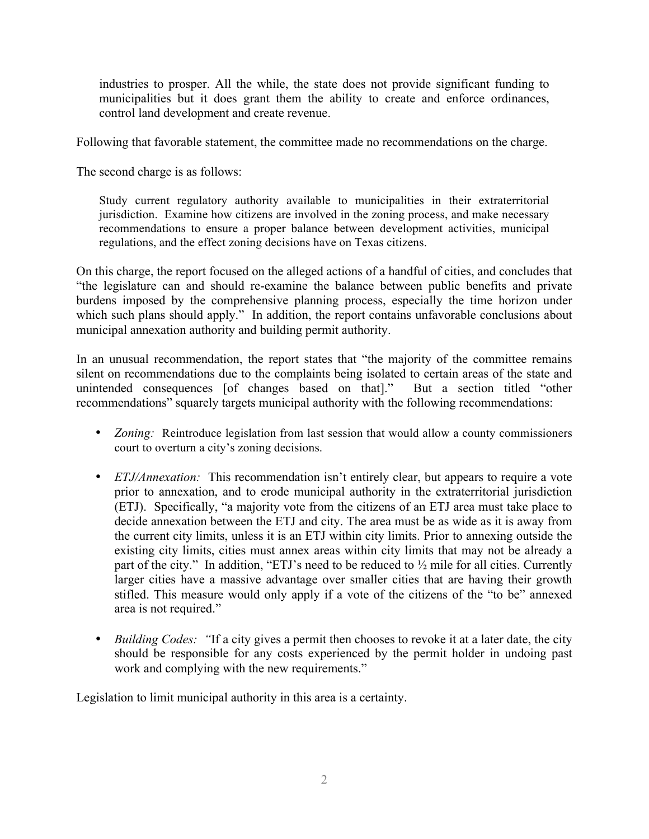industries to prosper. All the while, the state does not provide significant funding to municipalities but it does grant them the ability to create and enforce ordinances, control land development and create revenue.

Following that favorable statement, the committee made no recommendations on the charge.

The second charge is as follows:

Study current regulatory authority available to municipalities in their extraterritorial jurisdiction. Examine how citizens are involved in the zoning process, and make necessary recommendations to ensure a proper balance between development activities, municipal regulations, and the effect zoning decisions have on Texas citizens.

On this charge, the report focused on the alleged actions of a handful of cities, and concludes that "the legislature can and should re-examine the balance between public benefits and private burdens imposed by the comprehensive planning process, especially the time horizon under which such plans should apply." In addition, the report contains unfavorable conclusions about municipal annexation authority and building permit authority.

In an unusual recommendation, the report states that "the majority of the committee remains silent on recommendations due to the complaints being isolated to certain areas of the state and unintended consequences [of changes based on that]." But a section titled "other recommendations" squarely targets municipal authority with the following recommendations:

- *Zoning:* Reintroduce legislation from last session that would allow a county commissioners court to overturn a city's zoning decisions.
- *ETJ/Annexation:* This recommendation isn't entirely clear, but appears to require a vote prior to annexation, and to erode municipal authority in the extraterritorial jurisdiction (ETJ). Specifically, "a majority vote from the citizens of an ETJ area must take place to decide annexation between the ETJ and city. The area must be as wide as it is away from the current city limits, unless it is an ETJ within city limits. Prior to annexing outside the existing city limits, cities must annex areas within city limits that may not be already a part of the city." In addition, "ETJ's need to be reduced to ½ mile for all cities. Currently larger cities have a massive advantage over smaller cities that are having their growth stifled. This measure would only apply if a vote of the citizens of the "to be" annexed area is not required."
- *Building Codes: "*If a city gives a permit then chooses to revoke it at a later date, the city should be responsible for any costs experienced by the permit holder in undoing past work and complying with the new requirements."

Legislation to limit municipal authority in this area is a certainty.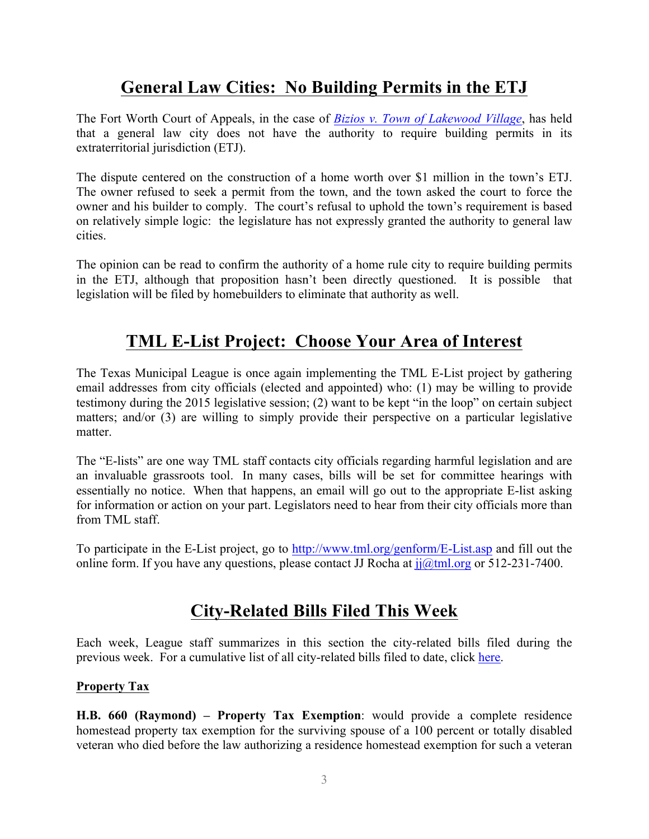# **General Law Cities: No Building Permits in the ETJ**

The Fort Worth Court of Appeals, in the case of *Bizios v. Town of Lakewood Village*, has held that a general law city does not have the authority to require building permits in its extraterritorial jurisdiction (ETJ).

The dispute centered on the construction of a home worth over \$1 million in the town's ETJ. The owner refused to seek a permit from the town, and the town asked the court to force the owner and his builder to comply. The court's refusal to uphold the town's requirement is based on relatively simple logic: the legislature has not expressly granted the authority to general law cities.

The opinion can be read to confirm the authority of a home rule city to require building permits in the ETJ, although that proposition hasn't been directly questioned. It is possible that legislation will be filed by homebuilders to eliminate that authority as well.

## **TML E-List Project: Choose Your Area of Interest**

The Texas Municipal League is once again implementing the TML E-List project by gathering email addresses from city officials (elected and appointed) who: (1) may be willing to provide testimony during the 2015 legislative session; (2) want to be kept "in the loop" on certain subject matters; and/or (3) are willing to simply provide their perspective on a particular legislative matter.

The "E-lists" are one way TML staff contacts city officials regarding harmful legislation and are an invaluable grassroots tool. In many cases, bills will be set for committee hearings with essentially no notice. When that happens, an email will go out to the appropriate E-list asking for information or action on your part. Legislators need to hear from their city officials more than from TML staff.

To participate in the E-List project, go to http://www.tml.org/genform/E-List.asp and fill out the online form. If you have any questions, please contact JJ Rocha at  $ji@tml.org$  or 512-231-7400.

# **City-Related Bills Filed This Week**

Each week, League staff summarizes in this section the city-related bills filed during the previous week. For a cumulative list of all city-related bills filed to date, click here.

### **Property Tax**

**H.B. 660 (Raymond) – Property Tax Exemption**: would provide a complete residence homestead property tax exemption for the surviving spouse of a 100 percent or totally disabled veteran who died before the law authorizing a residence homestead exemption for such a veteran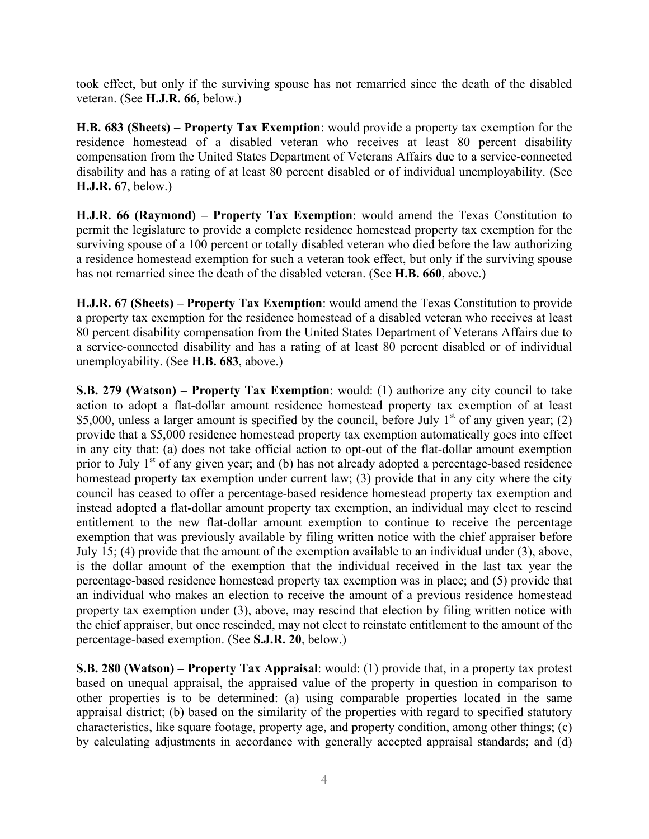took effect, but only if the surviving spouse has not remarried since the death of the disabled veteran. (See **H.J.R. 66**, below.)

**H.B. 683 (Sheets) – Property Tax Exemption**: would provide a property tax exemption for the residence homestead of a disabled veteran who receives at least 80 percent disability compensation from the United States Department of Veterans Affairs due to a service-connected disability and has a rating of at least 80 percent disabled or of individual unemployability. (See **H.J.R. 67**, below.)

**H.J.R. 66 (Raymond) – Property Tax Exemption**: would amend the Texas Constitution to permit the legislature to provide a complete residence homestead property tax exemption for the surviving spouse of a 100 percent or totally disabled veteran who died before the law authorizing a residence homestead exemption for such a veteran took effect, but only if the surviving spouse has not remarried since the death of the disabled veteran. (See **H.B. 660**, above.)

**H.J.R. 67 (Sheets) – Property Tax Exemption**: would amend the Texas Constitution to provide a property tax exemption for the residence homestead of a disabled veteran who receives at least 80 percent disability compensation from the United States Department of Veterans Affairs due to a service-connected disability and has a rating of at least 80 percent disabled or of individual unemployability. (See **H.B. 683**, above.)

**S.B. 279 (Watson) – Property Tax Exemption**: would: (1) authorize any city council to take action to adopt a flat-dollar amount residence homestead property tax exemption of at least \$5,000, unless a larger amount is specified by the council, before July  $1<sup>st</sup>$  of any given year; (2) provide that a \$5,000 residence homestead property tax exemption automatically goes into effect in any city that: (a) does not take official action to opt-out of the flat-dollar amount exemption prior to July  $1<sup>st</sup>$  of any given year; and (b) has not already adopted a percentage-based residence homestead property tax exemption under current law; (3) provide that in any city where the city council has ceased to offer a percentage-based residence homestead property tax exemption and instead adopted a flat-dollar amount property tax exemption, an individual may elect to rescind entitlement to the new flat-dollar amount exemption to continue to receive the percentage exemption that was previously available by filing written notice with the chief appraiser before July 15; (4) provide that the amount of the exemption available to an individual under (3), above, is the dollar amount of the exemption that the individual received in the last tax year the percentage-based residence homestead property tax exemption was in place; and (5) provide that an individual who makes an election to receive the amount of a previous residence homestead property tax exemption under (3), above, may rescind that election by filing written notice with the chief appraiser, but once rescinded, may not elect to reinstate entitlement to the amount of the percentage-based exemption. (See **S.J.R. 20**, below.)

**S.B. 280 (Watson) – Property Tax Appraisal**: would: (1) provide that, in a property tax protest based on unequal appraisal, the appraised value of the property in question in comparison to other properties is to be determined: (a) using comparable properties located in the same appraisal district; (b) based on the similarity of the properties with regard to specified statutory characteristics, like square footage, property age, and property condition, among other things; (c) by calculating adjustments in accordance with generally accepted appraisal standards; and (d)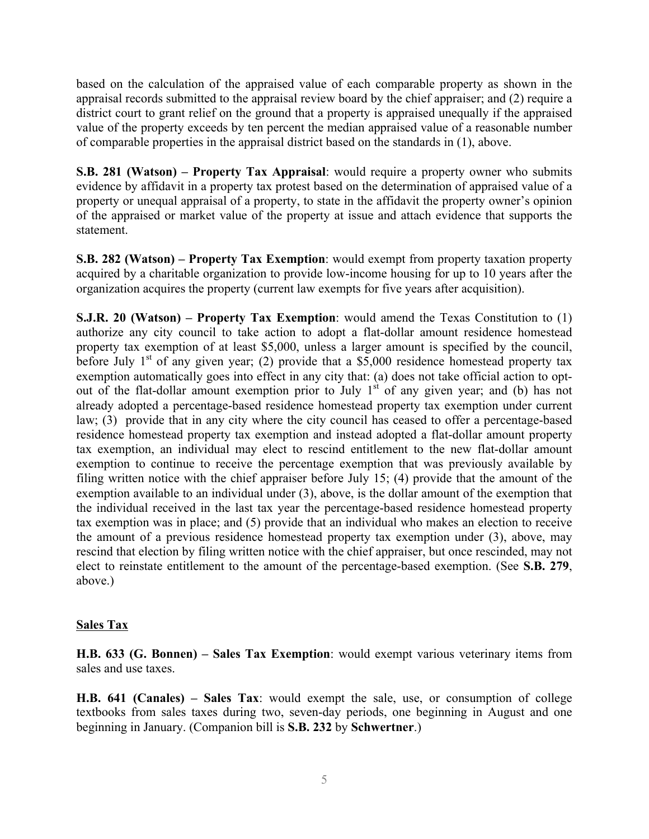based on the calculation of the appraised value of each comparable property as shown in the appraisal records submitted to the appraisal review board by the chief appraiser; and (2) require a district court to grant relief on the ground that a property is appraised unequally if the appraised value of the property exceeds by ten percent the median appraised value of a reasonable number of comparable properties in the appraisal district based on the standards in (1), above.

**S.B. 281 (Watson) – Property Tax Appraisal**: would require a property owner who submits evidence by affidavit in a property tax protest based on the determination of appraised value of a property or unequal appraisal of a property, to state in the affidavit the property owner's opinion of the appraised or market value of the property at issue and attach evidence that supports the statement.

**S.B. 282 (Watson) – Property Tax Exemption**: would exempt from property taxation property acquired by a charitable organization to provide low-income housing for up to 10 years after the organization acquires the property (current law exempts for five years after acquisition).

**S.J.R. 20 (Watson) – Property Tax Exemption**: would amend the Texas Constitution to (1) authorize any city council to take action to adopt a flat-dollar amount residence homestead property tax exemption of at least \$5,000, unless a larger amount is specified by the council, before July  $1<sup>st</sup>$  of any given year; (2) provide that a \$5,000 residence homestead property tax exemption automatically goes into effect in any city that: (a) does not take official action to optout of the flat-dollar amount exemption prior to July  $1<sup>st</sup>$  of any given year; and (b) has not already adopted a percentage-based residence homestead property tax exemption under current law; (3) provide that in any city where the city council has ceased to offer a percentage-based residence homestead property tax exemption and instead adopted a flat-dollar amount property tax exemption, an individual may elect to rescind entitlement to the new flat-dollar amount exemption to continue to receive the percentage exemption that was previously available by filing written notice with the chief appraiser before July 15; (4) provide that the amount of the exemption available to an individual under (3), above, is the dollar amount of the exemption that the individual received in the last tax year the percentage-based residence homestead property tax exemption was in place; and (5) provide that an individual who makes an election to receive the amount of a previous residence homestead property tax exemption under (3), above, may rescind that election by filing written notice with the chief appraiser, but once rescinded, may not elect to reinstate entitlement to the amount of the percentage-based exemption. (See **S.B. 279**, above.)

#### **Sales Tax**

**H.B. 633 (G. Bonnen) – Sales Tax Exemption**: would exempt various veterinary items from sales and use taxes.

**H.B. 641 (Canales) – Sales Tax**: would exempt the sale, use, or consumption of college textbooks from sales taxes during two, seven-day periods, one beginning in August and one beginning in January. (Companion bill is **S.B. 232** by **Schwertner**.)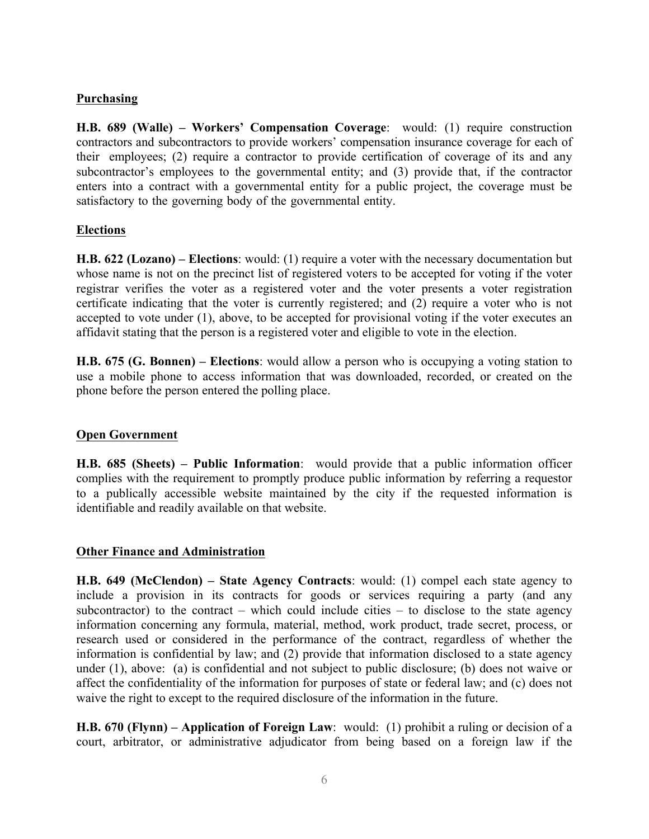#### **Purchasing**

**H.B. 689 (Walle) – Workers' Compensation Coverage**: would: (1) require construction contractors and subcontractors to provide workers' compensation insurance coverage for each of their employees; (2) require a contractor to provide certification of coverage of its and any subcontractor's employees to the governmental entity; and (3) provide that, if the contractor enters into a contract with a governmental entity for a public project, the coverage must be satisfactory to the governing body of the governmental entity.

#### **Elections**

**H.B. 622 (Lozano) – Elections**: would: (1) require a voter with the necessary documentation but whose name is not on the precinct list of registered voters to be accepted for voting if the voter registrar verifies the voter as a registered voter and the voter presents a voter registration certificate indicating that the voter is currently registered; and (2) require a voter who is not accepted to vote under (1), above, to be accepted for provisional voting if the voter executes an affidavit stating that the person is a registered voter and eligible to vote in the election.

**H.B. 675 (G. Bonnen) – Elections**: would allow a person who is occupying a voting station to use a mobile phone to access information that was downloaded, recorded, or created on the phone before the person entered the polling place.

### **Open Government**

**H.B. 685 (Sheets) – Public Information**: would provide that a public information officer complies with the requirement to promptly produce public information by referring a requestor to a publically accessible website maintained by the city if the requested information is identifiable and readily available on that website.

#### **Other Finance and Administration**

**H.B. 649 (McClendon) – State Agency Contracts**: would: (1) compel each state agency to include a provision in its contracts for goods or services requiring a party (and any subcontractor) to the contract – which could include cities – to disclose to the state agency information concerning any formula, material, method, work product, trade secret, process, or research used or considered in the performance of the contract, regardless of whether the information is confidential by law; and (2) provide that information disclosed to a state agency under (1), above: (a) is confidential and not subject to public disclosure; (b) does not waive or affect the confidentiality of the information for purposes of state or federal law; and (c) does not waive the right to except to the required disclosure of the information in the future.

**H.B. 670 (Flynn) – Application of Foreign Law**: would: (1) prohibit a ruling or decision of a court, arbitrator, or administrative adjudicator from being based on a foreign law if the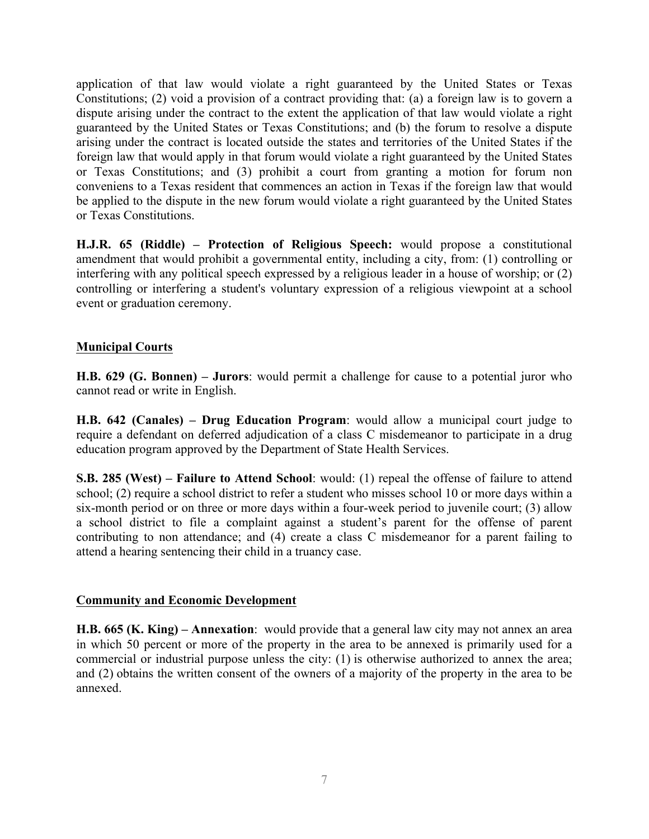application of that law would violate a right guaranteed by the United States or Texas Constitutions; (2) void a provision of a contract providing that: (a) a foreign law is to govern a dispute arising under the contract to the extent the application of that law would violate a right guaranteed by the United States or Texas Constitutions; and (b) the forum to resolve a dispute arising under the contract is located outside the states and territories of the United States if the foreign law that would apply in that forum would violate a right guaranteed by the United States or Texas Constitutions; and (3) prohibit a court from granting a motion for forum non conveniens to a Texas resident that commences an action in Texas if the foreign law that would be applied to the dispute in the new forum would violate a right guaranteed by the United States or Texas Constitutions.

**H.J.R. 65 (Riddle) – Protection of Religious Speech:** would propose a constitutional amendment that would prohibit a governmental entity, including a city, from: (1) controlling or interfering with any political speech expressed by a religious leader in a house of worship; or (2) controlling or interfering a student's voluntary expression of a religious viewpoint at a school event or graduation ceremony.

### **Municipal Courts**

**H.B. 629 (G. Bonnen) – Jurors**: would permit a challenge for cause to a potential juror who cannot read or write in English.

**H.B. 642 (Canales) – Drug Education Program**: would allow a municipal court judge to require a defendant on deferred adjudication of a class C misdemeanor to participate in a drug education program approved by the Department of State Health Services.

**S.B. 285 (West) – Failure to Attend School**: would: (1) repeal the offense of failure to attend school; (2) require a school district to refer a student who misses school 10 or more days within a six-month period or on three or more days within a four-week period to juvenile court; (3) allow a school district to file a complaint against a student's parent for the offense of parent contributing to non attendance; and (4) create a class C misdemeanor for a parent failing to attend a hearing sentencing their child in a truancy case.

### **Community and Economic Development**

**H.B. 665 (K. King) – Annexation**: would provide that a general law city may not annex an area in which 50 percent or more of the property in the area to be annexed is primarily used for a commercial or industrial purpose unless the city: (1) is otherwise authorized to annex the area; and (2) obtains the written consent of the owners of a majority of the property in the area to be annexed.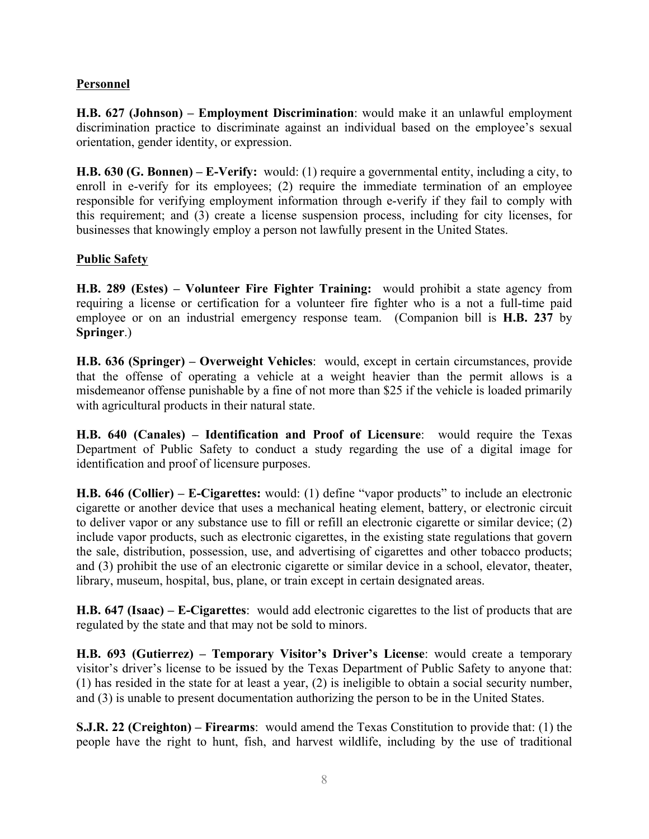## **Personnel**

**H.B. 627 (Johnson) – Employment Discrimination**: would make it an unlawful employment discrimination practice to discriminate against an individual based on the employee's sexual orientation, gender identity, or expression.

**H.B. 630 (G. Bonnen) – E-Verify:** would: (1) require a governmental entity, including a city, to enroll in e-verify for its employees; (2) require the immediate termination of an employee responsible for verifying employment information through e-verify if they fail to comply with this requirement; and (3) create a license suspension process, including for city licenses, for businesses that knowingly employ a person not lawfully present in the United States.

### **Public Safety**

**H.B. 289 (Estes) – Volunteer Fire Fighter Training:** would prohibit a state agency from requiring a license or certification for a volunteer fire fighter who is a not a full-time paid employee or on an industrial emergency response team. (Companion bill is **H.B. 237** by **Springer**.)

**H.B. 636 (Springer) – Overweight Vehicles**: would, except in certain circumstances, provide that the offense of operating a vehicle at a weight heavier than the permit allows is a misdemeanor offense punishable by a fine of not more than \$25 if the vehicle is loaded primarily with agricultural products in their natural state.

**H.B. 640 (Canales) – Identification and Proof of Licensure**: would require the Texas Department of Public Safety to conduct a study regarding the use of a digital image for identification and proof of licensure purposes.

**H.B. 646 (Collier) – E-Cigarettes:** would: (1) define "vapor products" to include an electronic cigarette or another device that uses a mechanical heating element, battery, or electronic circuit to deliver vapor or any substance use to fill or refill an electronic cigarette or similar device; (2) include vapor products, such as electronic cigarettes, in the existing state regulations that govern the sale, distribution, possession, use, and advertising of cigarettes and other tobacco products; and (3) prohibit the use of an electronic cigarette or similar device in a school, elevator, theater, library, museum, hospital, bus, plane, or train except in certain designated areas.

**H.B. 647 (Isaac) – E-Cigarettes**: would add electronic cigarettes to the list of products that are regulated by the state and that may not be sold to minors.

**H.B. 693 (Gutierrez) – Temporary Visitor's Driver's License**: would create a temporary visitor's driver's license to be issued by the Texas Department of Public Safety to anyone that: (1) has resided in the state for at least a year, (2) is ineligible to obtain a social security number, and (3) is unable to present documentation authorizing the person to be in the United States.

**S.J.R. 22 (Creighton) – Firearms**: would amend the Texas Constitution to provide that: (1) the people have the right to hunt, fish, and harvest wildlife, including by the use of traditional